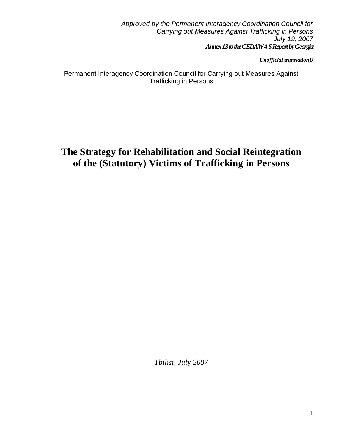*Approved by the Permanent Interagency Coordination Council for Carrying out Measures Against Trafficking in Persons July 19, 2007 Annex 13to the CEDAW 4-5 Report by Georgia*

*Unofficial translationU*

Permanent Interagency Coordination Council for Carrying out Measures Against Trafficking in Persons

# **The Strategy for Rehabilitation and Social Reintegration of the (Statutory) Victims of Trafficking in Persons**

*Tbilisi, July 2007*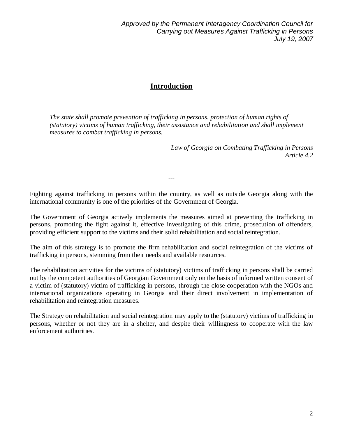*Approved by the Permanent Interagency Coordination Council for Carrying out Measures Against Trafficking in Persons July 19, 2007*

#### **Introduction**

*The state shall promote prevention of trafficking in persons, protection of human rights of (statutory) victims of human trafficking, their assistance and rehabilitation and shall implement measures to combat trafficking in persons.*

> *Law of Georgia on Combating Trafficking in Persons Article 4.2*

Fighting against trafficking in persons within the country, as well as outside Georgia along with the international community is one of the priorities of the Government of Georgia.

---

The Government of Georgia actively implements the measures aimed at preventing the trafficking in persons, promoting the fight against it, effective investigating of this crime, prosecution of offenders, providing efficient support to the victims and their solid rehabilitation and social reintegration.

The aim of this strategy is to promote the firm rehabilitation and social reintegration of the victims of trafficking in persons, stemming from their needs and available resources.

The rehabilitation activities for the victims of (statutory) victims of trafficking in persons shall be carried out by the competent authorities of Georgian Government only on the basis of informed written consent of a victim of (statutory) victim of trafficking in persons, through the close cooperation with the NGOs and international organizations operating in Georgia and their direct involvement in implementation of rehabilitation and reintegration measures.

The Strategy on rehabilitation and social reintegration may apply to the (statutory) victims of trafficking in persons, whether or not they are in a shelter, and despite their willingness to cooperate with the law enforcement authorities.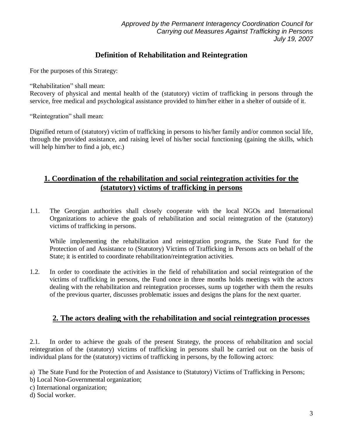#### **Definition of Rehabilitation and Reintegration**

For the purposes of this Strategy:

"Rehabilitation" shall mean:

Recovery of physical and mental health of the (statutory) victim of trafficking in persons through the service, free medical and psychological assistance provided to him/her either in a shelter of outside of it.

"Reintegration" shall mean:

Dignified return of (statutory) victim of trafficking in persons to his/her family and/or common social life, through the provided assistance, and raising level of his/her social functioning (gaining the skills, which will help him/her to find a job, etc.)

#### **1. Coordination of the rehabilitation and social reintegration activities for the (statutory) victims of trafficking in persons**

1.1. The Georgian authorities shall closely cooperate with the local NGOs and International Organizations to achieve the goals of rehabilitation and social reintegration of the (statutory) victims of trafficking in persons.

While implementing the rehabilitation and reintegration programs, the State Fund for the Protection of and Assistance to (Statutory) Victims of Trafficking in Persons acts on behalf of the State; it is entitled to coordinate rehabilitation/reintegration activities.

1.2. In order to coordinate the activities in the field of rehabilitation and social reintegration of the victims of trafficking in persons, the Fund once in three months holds meetings with the actors dealing with the rehabilitation and reintegration processes, sums up together with them the results of the previous quarter, discusses problematic issues and designs the plans for the next quarter.

#### **2. The actors dealing with the rehabilitation and social reintegration processes**

2.1. In order to achieve the goals of the present Strategy, the process of rehabilitation and social reintegration of the (statutory) victims of trafficking in persons shall be carried out on the basis of individual plans for the (statutory) victims of trafficking in persons, by the following actors:

- a) The State Fund for the Protection of and Assistance to (Statutory) Victims of Trafficking in Persons;
- b) Local Non-Governmental organization;
- c) International organization;
- d) Social worker.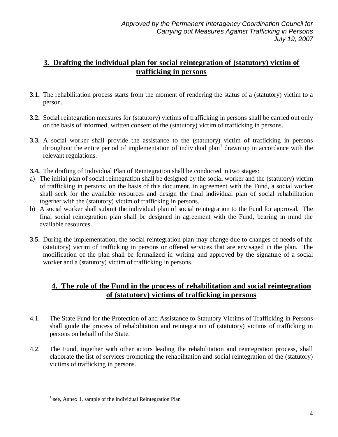## **3. Drafting the individual plan for social reintegration of (statutory) victim of trafficking in persons**

- **3.1.** The rehabilitation process starts from the moment of rendering the status of a (statutory) victim to a person.
- **3.2.** Social reintegration measures for (statutory) victims of trafficking in persons shall be carried out only on the basis of informed, written consent of the (statutory) victim of trafficking in persons.
- **3.3.** A social worker shall provide the assistance to the (statutory) victim of trafficking in persons throughout the entire period of implementation of individual plan<sup>1</sup> drawn up in accordance with the relevant regulations.
- **3.4.** The drafting of Individual Plan of Reintegration shall be conducted in two stages:
- a) The initial plan of social reintegration shall be designed by the social worker and the (statutory) victim of trafficking in persons; on the basis of this document, in agreement with the Fund, a social worker shall seek for the available resources and design the final individual plan of social rehabilitation together with the (statutory) victim of trafficking in persons.
- b) A social worker shall submit the individual plan of social reintegration to the Fund for approval. The final social reintegration plan shall be designed in agreement with the Fund, bearing in mind the available resources.
- **3.5.** During the implementation, the social reintegration plan may change due to changes of needs of the (statutory) victim of trafficking in persons or offered services that are envisaged in the plan. The modification of the plan shall be formalized in writing and approved by the signature of a social worker and a (statutory) victim of trafficking in persons.

#### **4. The role of the Fund in the process of rehabilitation and social reintegration of (statutory) victims of trafficking in persons**

- 4.1. The State Fund for the Protection of and Assistance to Statutory Victims of Trafficking in Persons shall guide the process of rehabilitation and reintegration of (statutory) victims of trafficking in persons on behalf of the State.
- 4.2. The Fund, together with other actors leading the rehabilitation and reintegration process, shall elaborate the list of services promoting the rehabilitation and social reintegration of the (statutory) victims of trafficking in persons.

 $\overline{a}$ <sup>1</sup> see, Annex 1, sample of the Individual Reintegration Plan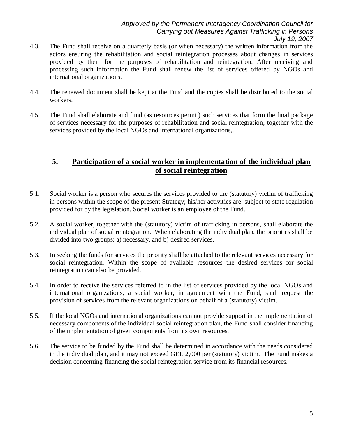- 4.3. The Fund shall receive on a quarterly basis (or when necessary) the written information from the actors ensuring the rehabilitation and social reintegration processes about changes in services provided by them for the purposes of rehabilitation and reintegration. After receiving and processing such information the Fund shall renew the list of services offered by NGOs and international organizations.
- 4.4. The renewed document shall be kept at the Fund and the copies shall be distributed to the social workers.
- 4.5. The Fund shall elaborate and fund (as resources permit) such services that form the final package of services necessary for the purposes of rehabilitation and social reintegration, together with the services provided by the local NGOs and international organizations,.

#### **5. Participation of a social worker in implementation of the individual plan of social reintegration**

- 5.1. Social worker is a person who secures the services provided to the (statutory) victim of trafficking in persons within the scope of the present Strategy; his/her activities are subject to state regulation provided for by the legislation. Social worker is an employee of the Fund.
- 5.2. A social worker, together with the (statutory) victim of trafficking in persons, shall elaborate the individual plan of social reintegration. When elaborating the individual plan, the priorities shall be divided into two groups: a) necessary, and b) desired services.
- 5.3. In seeking the funds for services the priority shall be attached to the relevant services necessary for social reintegration. Within the scope of available resources the desired services for social reintegration can also be provided.
- 5.4. In order to receive the services referred to in the list of services provided by the local NGOs and international organizations, a social worker, in agreement with the Fund, shall request the provision of services from the relevant organizations on behalf of a (statutory) victim.
- 5.5. If the local NGOs and international organizations can not provide support in the implementation of necessary components of the individual social reintegration plan, the Fund shall consider financing of the implementation of given components from its own resources.
- 5.6. The service to be funded by the Fund shall be determined in accordance with the needs considered in the individual plan, and it may not exceed GEL 2,000 per (statutory) victim. The Fund makes a decision concerning financing the social reintegration service from its financial resources.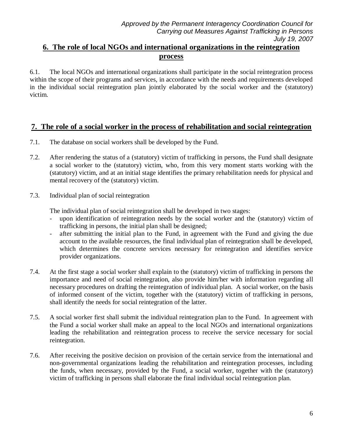## **6. The role of local NGOs and international organizations in the reintegration process**

6.1. The local NGOs and international organizations shall participate in the social reintegration process within the scope of their programs and services, in accordance with the needs and requirements developed in the individual social reintegration plan jointly elaborated by the social worker and the (statutory) victim.

#### **7. The role of a social worker in the process of rehabilitation and social reintegration**

- 7.1. The database on social workers shall be developed by the Fund.
- 7.2. After rendering the status of a (statutory) victim of trafficking in persons, the Fund shall designate a social worker to the (statutory) victim, who, from this very moment starts working with the (statutory) victim, and at an initial stage identifies the primary rehabilitation needs for physical and mental recovery of the (statutory) victim.
- 7.3. Individual plan of social reintegration

The individual plan of social reintegration shall be developed in two stages:

- upon identification of reintegration needs by the social worker and the (statutory) victim of trafficking in persons, the initial plan shall be designed;
- after submitting the initial plan to the Fund, in agreement with the Fund and giving the due account to the available resources, the final individual plan of reintegration shall be developed, which determines the concrete services necessary for reintegration and identifies service provider organizations.
- 7.4. At the first stage a social worker shall explain to the (statutory) victim of trafficking in persons the importance and need of social reintegration, also provide him/her with information regarding all necessary procedures on drafting the reintegration of individual plan. A social worker, on the basis of informed consent of the victim, together with the (statutory) victim of trafficking in persons, shall identify the needs for social reintegration of the latter.
- 7.5. A social worker first shall submit the individual reintegration plan to the Fund. In agreement with the Fund a social worker shall make an appeal to the local NGOs and international organizations leading the rehabilitation and reintegration process to receive the service necessary for social reintegration.
- 7.6. After receiving the positive decision on provision of the certain service from the international and non-governmental organizations leading the rehabilitation and reintegration processes, including the funds, when necessary, provided by the Fund, a social worker, together with the (statutory) victim of trafficking in persons shall elaborate the final individual social reintegration plan.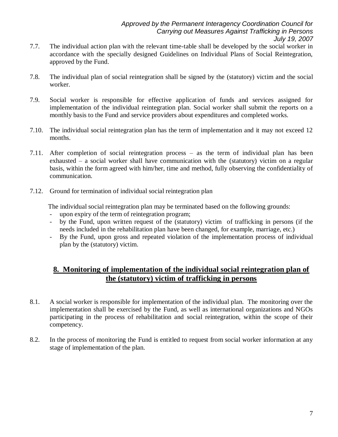- 7.7. The individual action plan with the relevant time-table shall be developed by the social worker in accordance with the specially designed Guidelines on Individual Plans of Social Reintegration, approved by the Fund.
- 7.8. The individual plan of social reintegration shall be signed by the (statutory) victim and the social worker.
- 7.9. Social worker is responsible for effective application of funds and services assigned for implementation of the individual reintegration plan. Social worker shall submit the reports on a monthly basis to the Fund and service providers about expenditures and completed works.
- 7.10. The individual social reintegration plan has the term of implementation and it may not exceed 12 months.
- 7.11. After completion of social reintegration process as the term of individual plan has been exhausted – a social worker shall have communication with the (statutory) victim on a regular basis, within the form agreed with him/her, time and method, fully observing the confidentiality of communication.
- 7.12. Ground for termination of individual social reintegration plan

The individual social reintegration plan may be terminated based on the following grounds:

- upon expiry of the term of reintegration program;
- by the Fund, upon written request of the (statutory) victim of trafficking in persons (if the needs included in the rehabilitation plan have been changed, for example, marriage, etc.)
- By the Fund, upon gross and repeated violation of the implementation process of individual plan by the (statutory) victim.

#### **8. Monitoring of implementation of the individual social reintegration plan of the (statutory) victim of trafficking in persons**

- 8.1. A social worker is responsible for implementation of the individual plan. The monitoring over the implementation shall be exercised by the Fund, as well as international organizations and NGOs participating in the process of rehabilitation and social reintegration, within the scope of their competency.
- 8.2. In the process of monitoring the Fund is entitled to request from social worker information at any stage of implementation of the plan.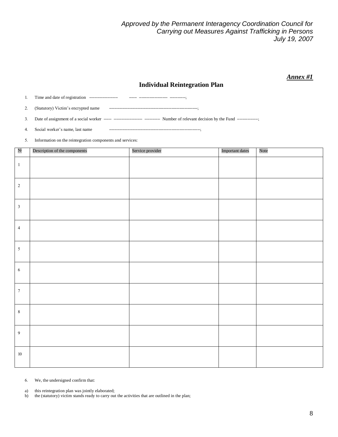*Approved by the Permanent Interagency Coordination Council for Carrying out Measures Against Trafficking in Persons July 19, 2007*

*Annex #1*

#### **Individual Reintegration Plan**

1. Time and date of registration \_\_\_\_\_\_\_\_\_\_\_ \_\_\_ \_\_\_\_\_\_\_\_\_\_\_ \_\_\_\_\_\_;

2. (Statutory) Victim's encrypted name ———————————————————————;

3. Date of assignment of a social worker \_\_\_ \_\_\_\_\_\_\_\_\_\_\_ \_\_\_\_\_\_ Number of relevant decision by the Fund \_\_\_\_\_\_\_\_;

4. Social worker's name, last name \_\_\_\_\_\_\_\_\_\_\_\_\_\_\_\_\_\_\_\_\_\_\_\_\_\_\_\_\_\_\_\_\_\_\_;

5. Information on the reintegration components and services:

| $\mathbf{N}^{\mathsf{D}}$ | Description of the components | Service provider | Important dates | Note |
|---------------------------|-------------------------------|------------------|-----------------|------|
| $1\,$                     |                               |                  |                 |      |
| $\sqrt{2}$                |                               |                  |                 |      |
| $\mathfrak{Z}$            |                               |                  |                 |      |
| $\overline{4}$            |                               |                  |                 |      |
| $\sqrt{5}$                |                               |                  |                 |      |
| $\sqrt{6}$                |                               |                  |                 |      |
| $7\phantom{.0}$           |                               |                  |                 |      |
| $\,8\,$                   |                               |                  |                 |      |
| $\overline{9}$            |                               |                  |                 |      |
| $10\,$                    |                               |                  |                 |      |

6. We, the undersigned confirm that:

a) this reintegration plan was jointly elaborated;

b) the (statutory) victim stands ready to carry out the activities that are outlined in the plan;